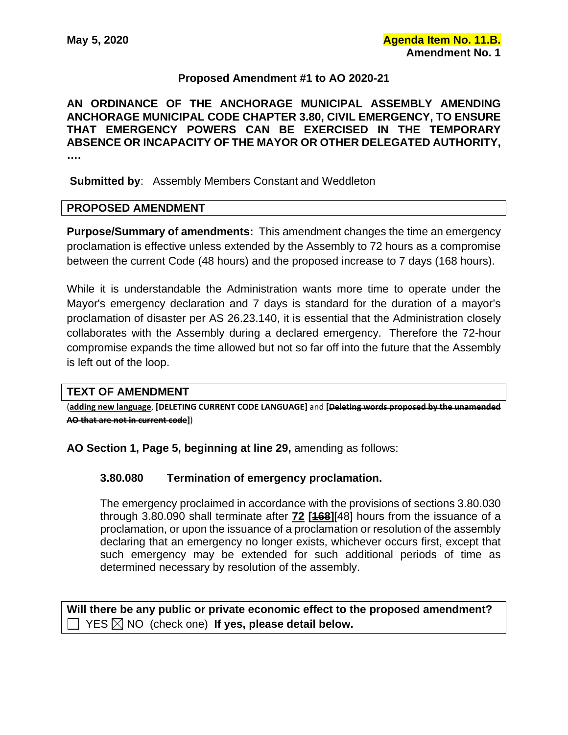# **Proposed Amendment #1 to AO 2020-21**

**AN ORDINANCE OF THE ANCHORAGE MUNICIPAL ASSEMBLY AMENDING ANCHORAGE MUNICIPAL CODE CHAPTER 3.80, CIVIL EMERGENCY, TO ENSURE THAT EMERGENCY POWERS CAN BE EXERCISED IN THE TEMPORARY ABSENCE OR INCAPACITY OF THE MAYOR OR OTHER DELEGATED AUTHORITY, ….**

**Submitted by**: Assembly Members Constant and Weddleton

### **PROPOSED AMENDMENT**

**Purpose/Summary of amendments:** This amendment changes the time an emergency proclamation is effective unless extended by the Assembly to 72 hours as a compromise between the current Code (48 hours) and the proposed increase to 7 days (168 hours).

While it is understandable the Administration wants more time to operate under the Mayor's emergency declaration and 7 days is standard for the duration of a mayor's proclamation of disaster per AS 26.23.140, it is essential that the Administration closely collaborates with the Assembly during a declared emergency. Therefore the 72-hour compromise expands the time allowed but not so far off into the future that the Assembly is left out of the loop.

### **TEXT OF AMENDMENT**

(**adding new language**, **[DELETING CURRENT CODE LANGUAGE]** and **[Deleting words proposed by the unamended AO that are not in current code]**)

**AO Section 1, Page 5, beginning at line 29,** amending as follows:

### **3.80.080 Termination of emergency proclamation.**

The emergency proclaimed in accordance with the provisions of sections 3.80.030 through 3.80.090 shall terminate after **72 [168]**[48] hours from the issuance of a proclamation, or upon the issuance of a proclamation or resolution of the assembly declaring that an emergency no longer exists, whichever occurs first, except that such emergency may be extended for such additional periods of time as determined necessary by resolution of the assembly.

**Will there be any public or private economic effect to the proposed amendment?**   $\Box$  YES  $\boxtimes$  NO (check one) **If yes, please detail below.**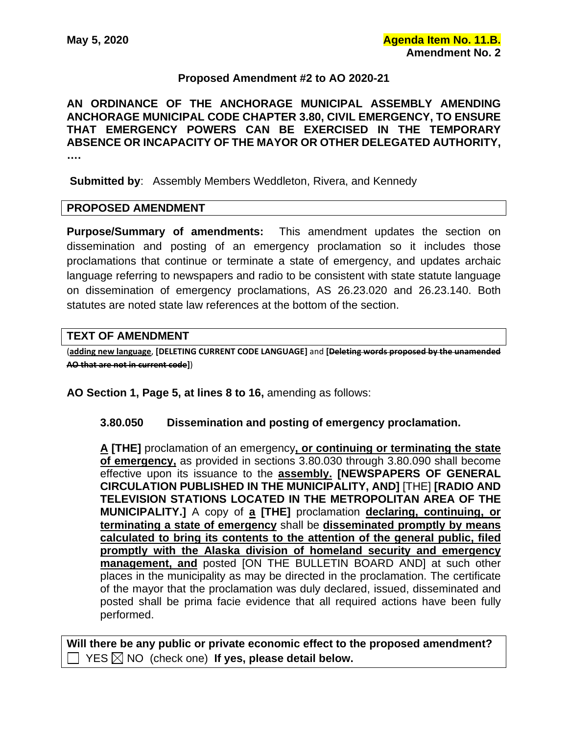# **Proposed Amendment #2 to AO 2020-21**

**AN ORDINANCE OF THE ANCHORAGE MUNICIPAL ASSEMBLY AMENDING ANCHORAGE MUNICIPAL CODE CHAPTER 3.80, CIVIL EMERGENCY, TO ENSURE THAT EMERGENCY POWERS CAN BE EXERCISED IN THE TEMPORARY ABSENCE OR INCAPACITY OF THE MAYOR OR OTHER DELEGATED AUTHORITY, ….**

**Submitted by**: Assembly Members Weddleton, Rivera, and Kennedy

### **PROPOSED AMENDMENT**

**Purpose/Summary of amendments:** This amendment updates the section on dissemination and posting of an emergency proclamation so it includes those proclamations that continue or terminate a state of emergency, and updates archaic language referring to newspapers and radio to be consistent with state statute language on dissemination of emergency proclamations, AS 26.23.020 and 26.23.140. Both statutes are noted state law references at the bottom of the section.

# **TEXT OF AMENDMENT**

(**adding new language**, **[DELETING CURRENT CODE LANGUAGE]** and **[Deleting words proposed by the unamended AO that are not in current code]**)

**AO Section 1, Page 5, at lines 8 to 16,** amending as follows:

### **3.80.050 Dissemination and posting of emergency proclamation.**

**A [THE]** proclamation of an emergency**, or continuing or terminating the state of emergency,** as provided in sections 3.80.030 through 3.80.090 shall become effective upon its issuance to the **assembly. [NEWSPAPERS OF GENERAL CIRCULATION PUBLISHED IN THE MUNICIPALITY, AND]** [THE] **[RADIO AND TELEVISION STATIONS LOCATED IN THE METROPOLITAN AREA OF THE MUNICIPALITY.]** A copy of **a [THE]** proclamation **declaring, continuing, or terminating a state of emergency** shall be **disseminated promptly by means calculated to bring its contents to the attention of the general public, filed promptly with the Alaska division of homeland security and emergency management, and** posted [ON THE BULLETIN BOARD AND] at such other places in the municipality as may be directed in the proclamation. The certificate of the mayor that the proclamation was duly declared, issued, disseminated and posted shall be prima facie evidence that all required actions have been fully performed.

**Will there be any public or private economic effect to the proposed amendment?**   $\Box$  YES  $\boxtimes$  NO (check one) If yes, please detail below.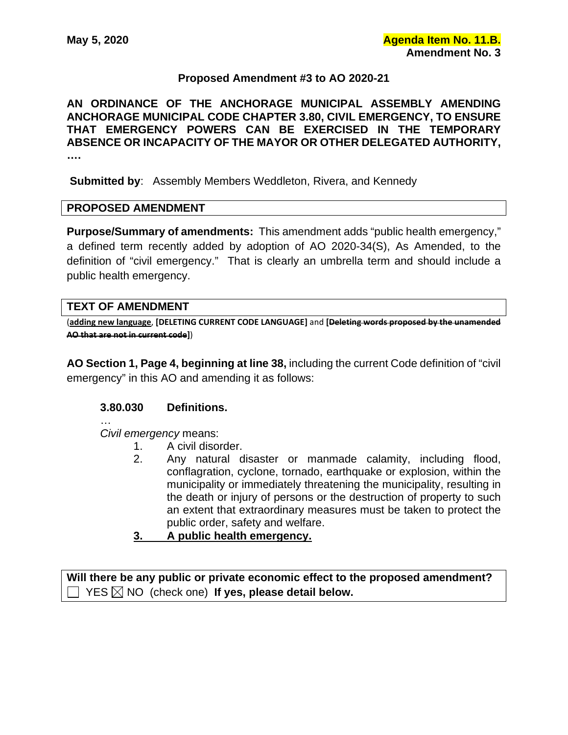### **Proposed Amendment #3 to AO 2020-21**

**AN ORDINANCE OF THE ANCHORAGE MUNICIPAL ASSEMBLY AMENDING ANCHORAGE MUNICIPAL CODE CHAPTER 3.80, CIVIL EMERGENCY, TO ENSURE THAT EMERGENCY POWERS CAN BE EXERCISED IN THE TEMPORARY ABSENCE OR INCAPACITY OF THE MAYOR OR OTHER DELEGATED AUTHORITY, ….**

**Submitted by**: Assembly Members Weddleton, Rivera, and Kennedy

### **PROPOSED AMENDMENT**

**Purpose/Summary of amendments:** This amendment adds "public health emergency," a defined term recently added by adoption of AO 2020-34(S), As Amended, to the definition of "civil emergency." That is clearly an umbrella term and should include a public health emergency.

### **TEXT OF AMENDMENT**

(**adding new language**, **[DELETING CURRENT CODE LANGUAGE]** and **[Deleting words proposed by the unamended AO that are not in current code]**)

**AO Section 1, Page 4, beginning at line 38,** including the current Code definition of "civil emergency" in this AO and amending it as follows:

### **3.80.030 Definitions.**

…

*Civil emergency* means:

- 1. A civil disorder.
- 2. Any natural disaster or manmade calamity, including flood, conflagration, cyclone, tornado, earthquake or explosion, within the municipality or immediately threatening the municipality, resulting in the death or injury of persons or the destruction of property to such an extent that extraordinary measures must be taken to protect the public order, safety and welfare.
- **3. A public health emergency.**

**Will there be any public or private economic effect to the proposed amendment?**   $YES \boxtimes NO$  (check one) If yes, please detail below.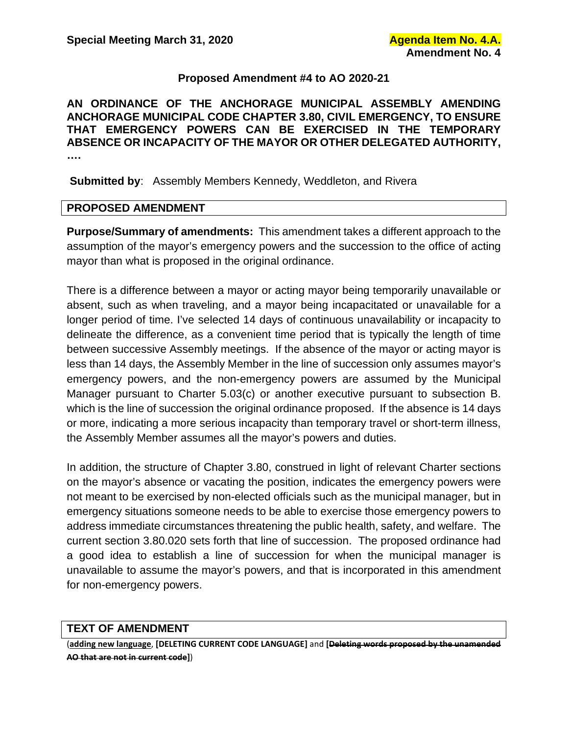# **Proposed Amendment #4 to AO 2020-21**

**AN ORDINANCE OF THE ANCHORAGE MUNICIPAL ASSEMBLY AMENDING ANCHORAGE MUNICIPAL CODE CHAPTER 3.80, CIVIL EMERGENCY, TO ENSURE THAT EMERGENCY POWERS CAN BE EXERCISED IN THE TEMPORARY ABSENCE OR INCAPACITY OF THE MAYOR OR OTHER DELEGATED AUTHORITY, ….**

**Submitted by**: Assembly Members Kennedy, Weddleton, and Rivera

# **PROPOSED AMENDMENT**

**Purpose/Summary of amendments:** This amendment takes a different approach to the assumption of the mayor's emergency powers and the succession to the office of acting mayor than what is proposed in the original ordinance.

There is a difference between a mayor or acting mayor being temporarily unavailable or absent, such as when traveling, and a mayor being incapacitated or unavailable for a longer period of time. I've selected 14 days of continuous unavailability or incapacity to delineate the difference, as a convenient time period that is typically the length of time between successive Assembly meetings. If the absence of the mayor or acting mayor is less than 14 days, the Assembly Member in the line of succession only assumes mayor's emergency powers, and the non-emergency powers are assumed by the Municipal Manager pursuant to Charter 5.03(c) or another executive pursuant to subsection B. which is the line of succession the original ordinance proposed. If the absence is 14 days or more, indicating a more serious incapacity than temporary travel or short-term illness, the Assembly Member assumes all the mayor's powers and duties.

In addition, the structure of Chapter 3.80, construed in light of relevant Charter sections on the mayor's absence or vacating the position, indicates the emergency powers were not meant to be exercised by non-elected officials such as the municipal manager, but in emergency situations someone needs to be able to exercise those emergency powers to address immediate circumstances threatening the public health, safety, and welfare. The current section 3.80.020 sets forth that line of succession. The proposed ordinance had a good idea to establish a line of succession for when the municipal manager is unavailable to assume the mayor's powers, and that is incorporated in this amendment for non-emergency powers.

### **TEXT OF AMENDMENT**

(**adding new language**, **[DELETING CURRENT CODE LANGUAGE]** and **[Deleting words proposed by the unamended AO that are not in current code]**)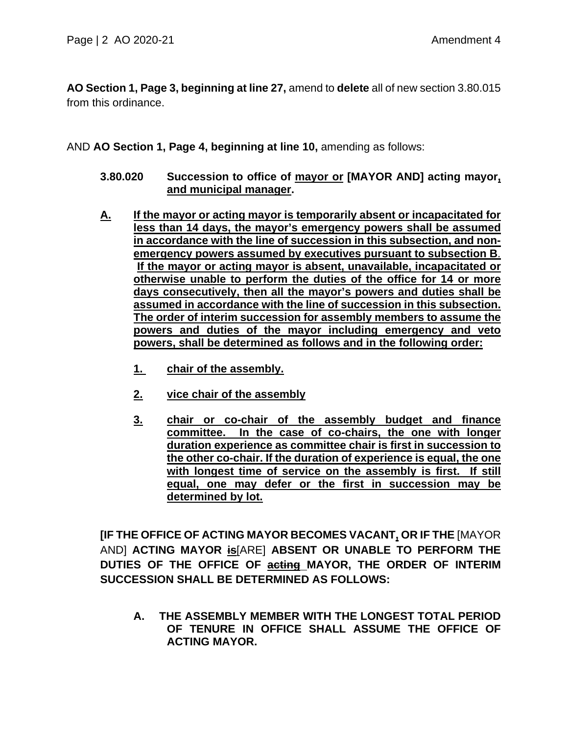**AO Section 1, Page 3, beginning at line 27,** amend to **delete** all of new section 3.80.015 from this ordinance.

AND **AO Section 1, Page 4, beginning at line 10,** amending as follows:

- **3.80.020 Succession to office of mayor or [MAYOR AND] acting mayor, and municipal manager.**
- **A. If the mayor or acting mayor is temporarily absent or incapacitated for less than 14 days, the mayor's emergency powers shall be assumed in accordance with the line of succession in this subsection, and nonemergency powers assumed by executives pursuant to subsection B**. **If the mayor or acting mayor is absent, unavailable, incapacitated or otherwise unable to perform the duties of the office for 14 or more days consecutively, then all the mayor's powers and duties shall be assumed in accordance with the line of succession in this subsection. The order of interim succession for assembly members to assume the powers and duties of the mayor including emergency and veto powers, shall be determined as follows and in the following order:** 
	- **1. chair of the assembly.**
	- **2. vice chair of the assembly**
	- **3. chair or co-chair of the assembly budget and finance committee. In the case of co-chairs, the one with longer duration experience as committee chair is first in succession to the other co-chair. If the duration of experience is equal, the one with longest time of service on the assembly is first. If still equal, one may defer or the first in succession may be determined by lot.**

**[IF THE OFFICE OF ACTING MAYOR BECOMES VACANT, OR IF THE** [MAYOR AND] **ACTING MAYOR is**[ARE] **ABSENT OR UNABLE TO PERFORM THE DUTIES OF THE OFFICE OF acting MAYOR, THE ORDER OF INTERIM SUCCESSION SHALL BE DETERMINED AS FOLLOWS:** 

**A. THE ASSEMBLY MEMBER WITH THE LONGEST TOTAL PERIOD OF TENURE IN OFFICE SHALL ASSUME THE OFFICE OF ACTING MAYOR.**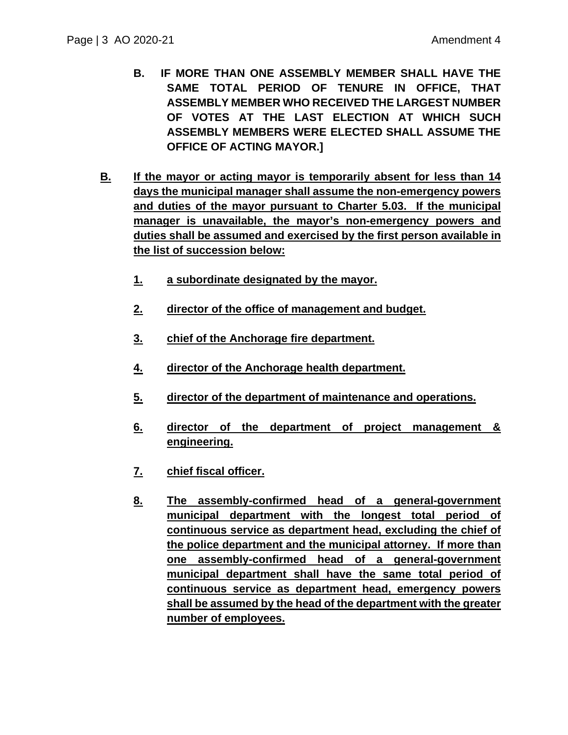- **B. IF MORE THAN ONE ASSEMBLY MEMBER SHALL HAVE THE SAME TOTAL PERIOD OF TENURE IN OFFICE, THAT ASSEMBLY MEMBER WHO RECEIVED THE LARGEST NUMBER OF VOTES AT THE LAST ELECTION AT WHICH SUCH ASSEMBLY MEMBERS WERE ELECTED SHALL ASSUME THE OFFICE OF ACTING MAYOR.]**
- **B. If the mayor or acting mayor is temporarily absent for less than 14 days the municipal manager shall assume the non-emergency powers and duties of the mayor pursuant to Charter 5.03. If the municipal manager is unavailable, the mayor's non-emergency powers and duties shall be assumed and exercised by the first person available in the list of succession below:**
	- **1. a subordinate designated by the mayor.**
	- **2. director of the office of management and budget.**
	- **3. chief of the Anchorage fire department.**
	- **4. director of the Anchorage health department.**
	- **5. director of the department of maintenance and operations.**
	- **6. director of the department of project management & engineering.**
	- **7. chief fiscal officer.**
	- **8. The assembly-confirmed head of a general-government municipal department with the longest total period of continuous service as department head, excluding the chief of the police department and the municipal attorney. If more than one assembly-confirmed head of a general-government municipal department shall have the same total period of continuous service as department head, emergency powers shall be assumed by the head of the department with the greater number of employees.**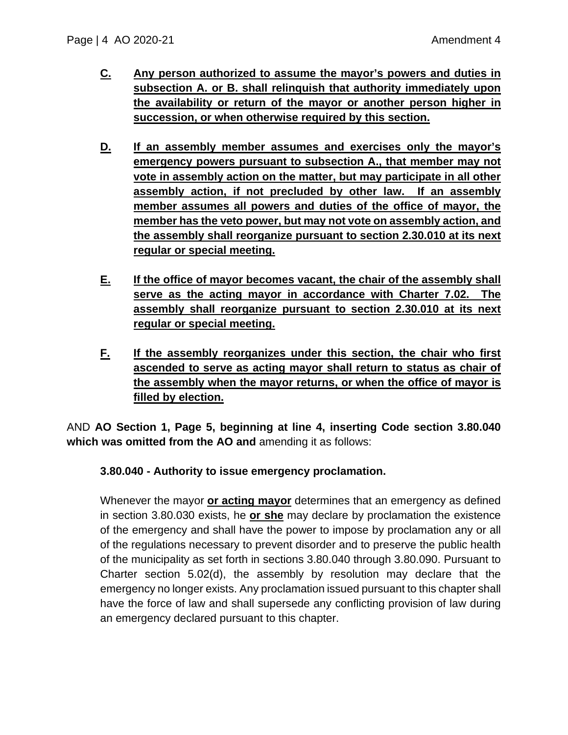- **C. Any person authorized to assume the mayor's powers and duties in subsection A. or B. shall relinquish that authority immediately upon the availability or return of the mayor or another person higher in succession, or when otherwise required by this section.**
- **D. If an assembly member assumes and exercises only the mayor's emergency powers pursuant to subsection A., that member may not vote in assembly action on the matter, but may participate in all other assembly action, if not precluded by other law. If an assembly member assumes all powers and duties of the office of mayor, the member has the veto power, but may not vote on assembly action, and the assembly shall reorganize pursuant to section 2.30.010 at its next regular or special meeting.**
- **E. If the office of mayor becomes vacant, the chair of the assembly shall serve as the acting mayor in accordance with Charter 7.02. The assembly shall reorganize pursuant to section 2.30.010 at its next regular or special meeting.**
- **F. If the assembly reorganizes under this section, the chair who first ascended to serve as acting mayor shall return to status as chair of the assembly when the mayor returns, or when the office of mayor is filled by election.**

AND **AO Section 1, Page 5, beginning at line 4, inserting Code section 3.80.040 which was omitted from the AO and** amending it as follows:

# **3.80.040 - Authority to issue emergency proclamation.**

Whenever the mayor **or acting mayor** determines that an emergency as defined in section 3.80.030 exists, he **or she** may declare by proclamation the existence of the emergency and shall have the power to impose by proclamation any or all of the regulations necessary to prevent disorder and to preserve the public health of the municipality as set forth in sections 3.80.040 through 3.80.090. Pursuant to Charter section 5.02(d), the assembly by resolution may declare that the emergency no longer exists. Any proclamation issued pursuant to this chapter shall have the force of law and shall supersede any conflicting provision of law during an emergency declared pursuant to this chapter.